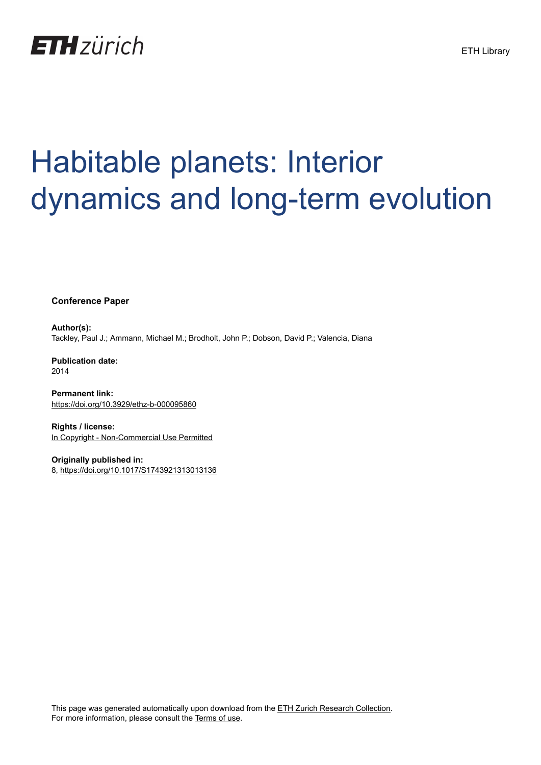

# Habitable planets: Interior dynamics and long-term evolution

**Conference Paper**

**Author(s):** Tackley, Paul J.; Ammann, Michael M.; Brodholt, John P.; Dobson, David P.; Valencia, Diana

**Publication date:** 2014

**Permanent link:** <https://doi.org/10.3929/ethz-b-000095860>

**Rights / license:** [In Copyright - Non-Commercial Use Permitted](http://rightsstatements.org/page/InC-NC/1.0/)

**Originally published in:** 8,<https://doi.org/10.1017/S1743921313013136>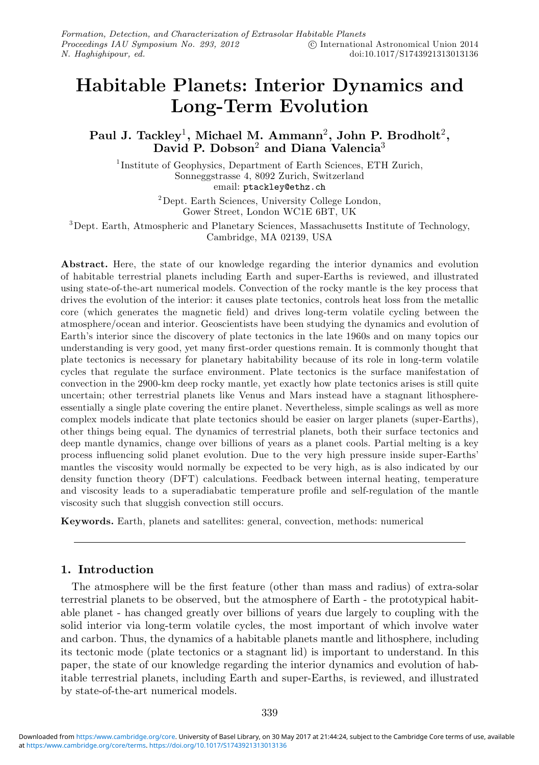# **Habitable Planets: Interior Dynamics and Long-Term Evolution**

**Paul J. Tackley**1**, Michael M. Ammann**2**, John P. Brodholt**2**, David P. Dobson**<sup>2</sup> **and Diana Valencia**<sup>3</sup>

<sup>1</sup>Institute of Geophysics, Department of Earth Sciences, ETH Zurich, Sonneggstrasse 4, 8092 Zurich, Switzerland email: ptackley@ethz.ch

2Dept. Earth Sciences, University College London, Gower Street, London WC1E 6BT, UK

3Dept. Earth, Atmospheric and Planetary Sciences, Massachusetts Institute of Technology, Cambridge, MA 02139, USA

**Abstract.** Here, the state of our knowledge regarding the interior dynamics and evolution of habitable terrestrial planets including Earth and super-Earths is reviewed, and illustrated using state-of-the-art numerical models. Convection of the rocky mantle is the key process that drives the evolution of the interior: it causes plate tectonics, controls heat loss from the metallic core (which generates the magnetic field) and drives long-term volatile cycling between the atmosphere/ocean and interior. Geoscientists have been studying the dynamics and evolution of Earth's interior since the discovery of plate tectonics in the late 1960s and on many topics our understanding is very good, yet many first-order questions remain. It is commonly thought that plate tectonics is necessary for planetary habitability because of its role in long-term volatile cycles that regulate the surface environment. Plate tectonics is the surface manifestation of convection in the 2900-km deep rocky mantle, yet exactly how plate tectonics arises is still quite uncertain; other terrestrial planets like Venus and Mars instead have a stagnant lithosphereessentially a single plate covering the entire planet. Nevertheless, simple scalings as well as more complex models indicate that plate tectonics should be easier on larger planets (super-Earths), other things being equal. The dynamics of terrestrial planets, both their surface tectonics and deep mantle dynamics, change over billions of years as a planet cools. Partial melting is a key process influencing solid planet evolution. Due to the very high pressure inside super-Earths' mantles the viscosity would normally be expected to be very high, as is also indicated by our density function theory (DFT) calculations. Feedback between internal heating, temperature and viscosity leads to a superadiabatic temperature profile and self-regulation of the mantle viscosity such that sluggish convection still occurs.

**Keywords.** Earth, planets and satellites: general, convection, methods: numerical

# **1. Introduction**

The atmosphere will be the first feature (other than mass and radius) of extra-solar terrestrial planets to be observed, but the atmosphere of Earth - the prototypical habitable planet - has changed greatly over billions of years due largely to coupling with the solid interior via long-term volatile cycles, the most important of which involve water and carbon. Thus, the dynamics of a habitable planets mantle and lithosphere, including its tectonic mode (plate tectonics or a stagnant lid) is important to understand. In this paper, the state of our knowledge regarding the interior dynamics and evolution of habitable terrestrial planets, including Earth and super-Earths, is reviewed, and illustrated by state-of-the-art numerical models.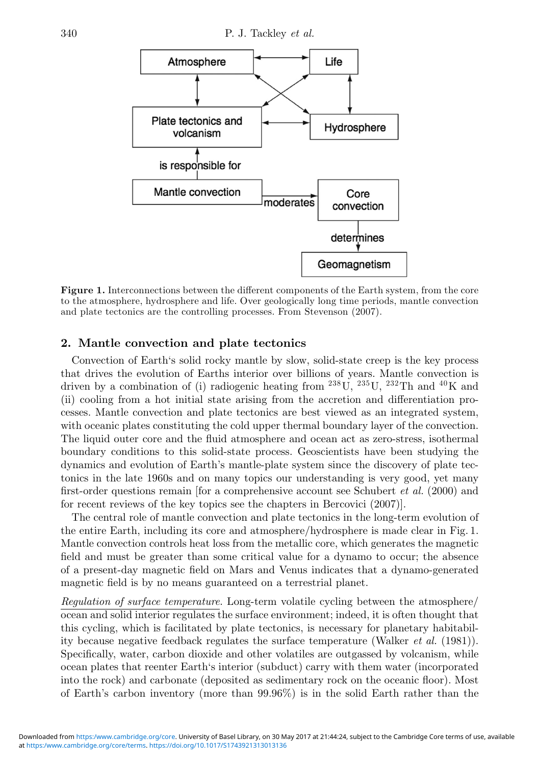

**Figure 1.** Interconnections between the different components of the Earth system, from the core to the atmosphere, hydrosphere and life. Over geologically long time periods, mantle convection and plate tectonics are the controlling processes. From Stevenson (2007).

# **2. Mantle convection and plate tectonics**

Convection of Earth's solid rocky mantle by slow, solid-state creep is the key process that drives the evolution of Earths interior over billions of years. Mantle convection is driven by a combination of (i) radiogenic heating from  $^{238}$ U,  $^{235}$ U,  $^{232}$ Th and  $^{40}$ K and (ii) cooling from a hot initial state arising from the accretion and differentiation processes. Mantle convection and plate tectonics are best viewed as an integrated system, with oceanic plates constituting the cold upper thermal boundary layer of the convection. The liquid outer core and the fluid atmosphere and ocean act as zero-stress, isothermal boundary conditions to this solid-state process. Geoscientists have been studying the dynamics and evolution of Earth's mantle-plate system since the discovery of plate tectonics in the late 1960s and on many topics our understanding is very good, yet many first-order questions remain [for a comprehensive account see Schubert  $et al. (2000)$  and for recent reviews of the key topics see the chapters in Bercovici (2007)].

The central role of mantle convection and plate tectonics in the long-term evolution of the entire Earth, including its core and atmosphere/hydrosphere is made clear in Fig. 1. Mantle convection controls heat loss from the metallic core, which generates the magnetic field and must be greater than some critical value for a dynamo to occur; the absence of a present-day magnetic field on Mars and Venus indicates that a dynamo-generated magnetic field is by no means guaranteed on a terrestrial planet.

Regulation of surface temperature. Long-term volatile cycling between the atmosphere/ ocean and solid interior regulates the surface environment; indeed, it is often thought that this cycling, which is facilitated by plate tectonics, is necessary for planetary habitability because negative feedback regulates the surface temperature (Walker et al. (1981)). Specifically, water, carbon dioxide and other volatiles are outgassed by volcanism, while ocean plates that reenter Earth's interior (subduct) carry with them water (incorporated into the rock) and carbonate (deposited as sedimentary rock on the oceanic floor). Most of Earth's carbon inventory (more than 99.96%) is in the solid Earth rather than the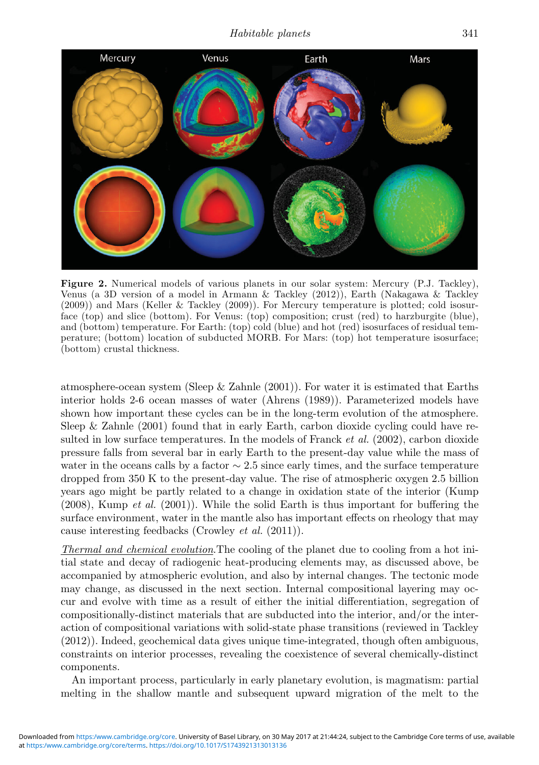

**Figure 2.** Numerical models of various planets in our solar system: Mercury (P.J. Tackley), Venus (a 3D version of a model in Armann & Tackley (2012)), Earth (Nakagawa & Tackley (2009)) and Mars (Keller & Tackley (2009)). For Mercury temperature is plotted; cold isosurface (top) and slice (bottom). For Venus: (top) composition; crust (red) to harzburgite (blue), and (bottom) temperature. For Earth: (top) cold (blue) and hot (red) isosurfaces of residual temperature; (bottom) location of subducted MORB. For Mars: (top) hot temperature isosurface; (bottom) crustal thickness.

atmosphere-ocean system (Sleep & Zahnle (2001)). For water it is estimated that Earths interior holds 2-6 ocean masses of water (Ahrens (1989)). Parameterized models have shown how important these cycles can be in the long-term evolution of the atmosphere. Sleep & Zahnle (2001) found that in early Earth, carbon dioxide cycling could have resulted in low surface temperatures. In the models of Franck  $et al. (2002)$ , carbon dioxide pressure falls from several bar in early Earth to the present-day value while the mass of water in the oceans calls by a factor  $\sim$  2.5 since early times, and the surface temperature dropped from 350 K to the present-day value. The rise of atmospheric oxygen 2.5 billion years ago might be partly related to a change in oxidation state of the interior (Kump (2008), Kump et al. (2001)). While the solid Earth is thus important for buffering the surface environment, water in the mantle also has important effects on rheology that may cause interesting feedbacks (Crowley et al. (2011)).

Thermal and chemical evolution.The cooling of the planet due to cooling from a hot initial state and decay of radiogenic heat-producing elements may, as discussed above, be accompanied by atmospheric evolution, and also by internal changes. The tectonic mode may change, as discussed in the next section. Internal compositional layering may occur and evolve with time as a result of either the initial differentiation, segregation of compositionally-distinct materials that are subducted into the interior, and/or the interaction of compositional variations with solid-state phase transitions (reviewed in Tackley (2012)). Indeed, geochemical data gives unique time-integrated, though often ambiguous, constraints on interior processes, revealing the coexistence of several chemically-distinct components.

An important process, particularly in early planetary evolution, is magmatism: partial melting in the shallow mantle and subsequent upward migration of the melt to the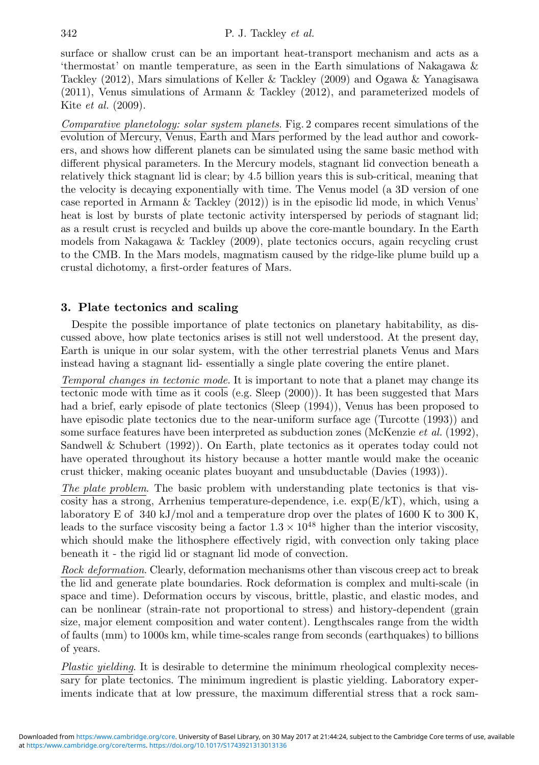surface or shallow crust can be an important heat-transport mechanism and acts as a 'thermostat' on mantle temperature, as seen in the Earth simulations of Nakagawa & Tackley (2012), Mars simulations of Keller & Tackley (2009) and Ogawa & Yanagisawa (2011), Venus simulations of Armann & Tackley (2012), and parameterized models of Kite et al. (2009).

Comparative planetology: solar system planets. Fig. 2 compares recent simulations of the evolution of Mercury, Venus, Earth and Mars performed by the lead author and coworkers, and shows how different planets can be simulated using the same basic method with different physical parameters. In the Mercury models, stagnant lid convection beneath a relatively thick stagnant lid is clear; by 4.5 billion years this is sub-critical, meaning that the velocity is decaying exponentially with time. The Venus model (a 3D version of one case reported in Armann & Tackley (2012)) is in the episodic lid mode, in which Venus' heat is lost by bursts of plate tectonic activity interspersed by periods of stagnant lid; as a result crust is recycled and builds up above the core-mantle boundary. In the Earth models from Nakagawa & Tackley (2009), plate tectonics occurs, again recycling crust to the CMB. In the Mars models, magmatism caused by the ridge-like plume build up a crustal dichotomy, a first-order features of Mars.

# **3. Plate tectonics and scaling**

Despite the possible importance of plate tectonics on planetary habitability, as discussed above, how plate tectonics arises is still not well understood. At the present day, Earth is unique in our solar system, with the other terrestrial planets Venus and Mars instead having a stagnant lid- essentially a single plate covering the entire planet.

Temporal changes in tectonic mode. It is important to note that a planet may change its tectonic mode with time as it cools (e.g. Sleep (2000)). It has been suggested that Mars had a brief, early episode of plate tectonics (Sleep (1994)), Venus has been proposed to have episodic plate tectonics due to the near-uniform surface age (Turcotte (1993)) and some surface features have been interpreted as subduction zones (McKenzie et al. (1992), Sandwell & Schubert (1992)). On Earth, plate tectonics as it operates today could not have operated throughout its history because a hotter mantle would make the oceanic crust thicker, making oceanic plates buoyant and unsubductable (Davies (1993)).

The plate problem. The basic problem with understanding plate tectonics is that viscosity has a strong, Arrhenius temperature-dependence, i.e.  $\exp(E/kT)$ , which, using a laboratory E of  $340 \text{ kJ/mol}$  and a temperature drop over the plates of 1600 K to 300 K, leads to the surface viscosity being a factor  $1.3 \times 10^{48}$  higher than the interior viscosity, which should make the lithosphere effectively rigid, with convection only taking place beneath it - the rigid lid or stagnant lid mode of convection.

Rock deformation. Clearly, deformation mechanisms other than viscous creep act to break the lid and generate plate boundaries. Rock deformation is complex and multi-scale (in space and time). Deformation occurs by viscous, brittle, plastic, and elastic modes, and can be nonlinear (strain-rate not proportional to stress) and history-dependent (grain size, major element composition and water content). Lengthscales range from the width of faults (mm) to 1000s km, while time-scales range from seconds (earthquakes) to billions of years.

Plastic yielding. It is desirable to determine the minimum rheological complexity necessary for plate tectonics. The minimum ingredient is plastic yielding. Laboratory experiments indicate that at low pressure, the maximum differential stress that a rock sam-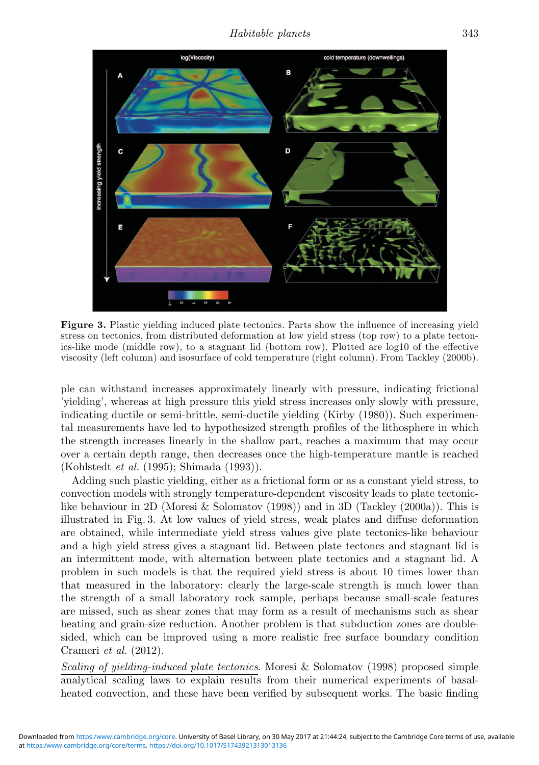Habitable planets 343



**Figure 3.** Plastic yielding induced plate tectonics. Parts show the influence of increasing yield stress on tectonics, from distributed deformation at low yield stress (top row) to a plate tectonics-like mode (middle row), to a stagnant lid (bottom row). Plotted are log10 of the effective viscosity (left column) and isosurface of cold temperature (right column). From Tackley (2000b).

ple can withstand increases approximately linearly with pressure, indicating frictional 'yielding', whereas at high pressure this yield stress increases only slowly with pressure, indicating ductile or semi-brittle, semi-ductile yielding (Kirby (1980)). Such experimental measurements have led to hypothesized strength profiles of the lithosphere in which the strength increases linearly in the shallow part, reaches a maximum that may occur over a certain depth range, then decreases once the high-temperature mantle is reached (Kohlstedt et al. (1995); Shimada (1993)).

Adding such plastic yielding, either as a frictional form or as a constant yield stress, to convection models with strongly temperature-dependent viscosity leads to plate tectoniclike behaviour in 2D (Moresi & Solomatov (1998)) and in 3D (Tackley (2000a)). This is illustrated in Fig. 3. At low values of yield stress, weak plates and diffuse deformation are obtained, while intermediate yield stress values give plate tectonics-like behaviour and a high yield stress gives a stagnant lid. Between plate tectoncs and stagnant lid is an intermittent mode, with alternation between plate tectonics and a stagnant lid. A problem in such models is that the required yield stress is about 10 times lower than that measured in the laboratory: clearly the large-scale strength is much lower than the strength of a small laboratory rock sample, perhaps because small-scale features are missed, such as shear zones that may form as a result of mechanisms such as shear heating and grain-size reduction. Another problem is that subduction zones are doublesided, which can be improved using a more realistic free surface boundary condition Crameri et al. (2012).

Scaling of yielding-induced plate tectonics. Moresi & Solomatov (1998) proposed simple analytical scaling laws to explain results from their numerical experiments of basalheated convection, and these have been verified by subsequent works. The basic finding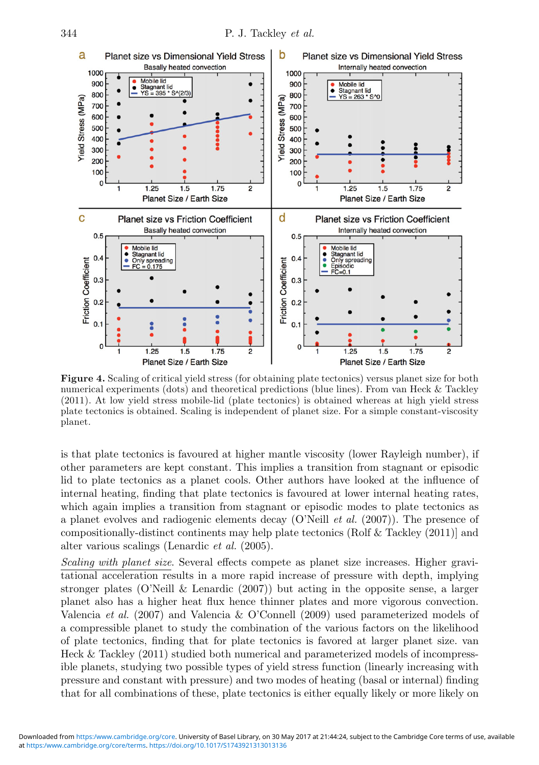

**Figure 4.** Scaling of critical yield stress (for obtaining plate tectonics) versus planet size for both numerical experiments (dots) and theoretical predictions (blue lines). From van Heck & Tackley (2011). At low yield stress mobile-lid (plate tectonics) is obtained whereas at high yield stress plate tectonics is obtained. Scaling is independent of planet size. For a simple constant-viscosity planet.

is that plate tectonics is favoured at higher mantle viscosity (lower Rayleigh number), if other parameters are kept constant. This implies a transition from stagnant or episodic lid to plate tectonics as a planet cools. Other authors have looked at the influence of internal heating, finding that plate tectonics is favoured at lower internal heating rates, which again implies a transition from stagnant or episodic modes to plate tectonics as a planet evolves and radiogenic elements decay (O'Neill *et al.* (2007)). The presence of compositionally-distinct continents may help plate tectonics (Rolf & Tackley (2011)] and alter various scalings (Lenardic et al. (2005).

Scaling with planet size. Several effects compete as planet size increases. Higher gravitational acceleration results in a more rapid increase of pressure with depth, implying stronger plates (O'Neill & Lenardic (2007)) but acting in the opposite sense, a larger planet also has a higher heat flux hence thinner plates and more vigorous convection. Valencia et al. (2007) and Valencia & O'Connell (2009) used parameterized models of a compressible planet to study the combination of the various factors on the likelihood of plate tectonics, finding that for plate tectonics is favored at larger planet size. van Heck & Tackley (2011) studied both numerical and parameterized models of incompressible planets, studying two possible types of yield stress function (linearly increasing with pressure and constant with pressure) and two modes of heating (basal or internal) finding that for all combinations of these, plate tectonics is either equally likely or more likely on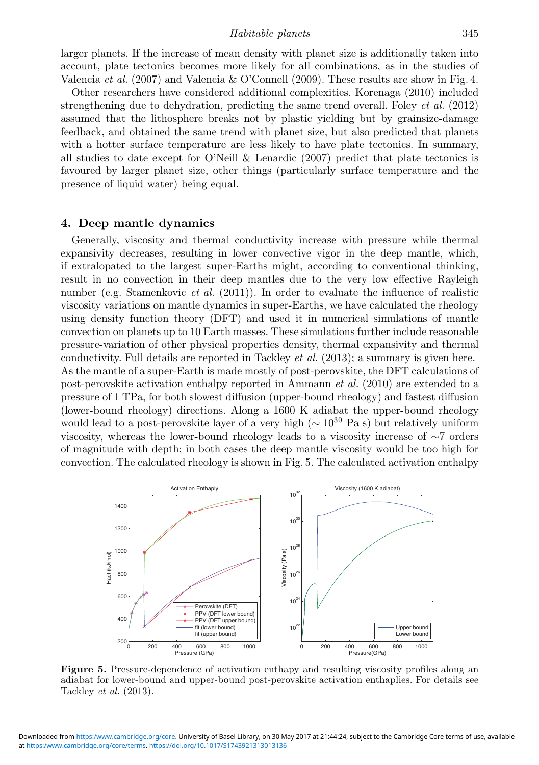larger planets. If the increase of mean density with planet size is additionally taken into account, plate tectonics becomes more likely for all combinations, as in the studies of Valencia et al. (2007) and Valencia & O'Connell (2009). These results are show in Fig. 4.

Other researchers have considered additional complexities. Korenaga (2010) included strengthening due to dehydration, predicting the same trend overall. Foley et al. (2012) assumed that the lithosphere breaks not by plastic yielding but by grainsize-damage feedback, and obtained the same trend with planet size, but also predicted that planets with a hotter surface temperature are less likely to have plate tectonics. In summary, all studies to date except for O'Neill & Lenardic (2007) predict that plate tectonics is favoured by larger planet size, other things (particularly surface temperature and the presence of liquid water) being equal.

### **4. Deep mantle dynamics**

Generally, viscosity and thermal conductivity increase with pressure while thermal expansivity decreases, resulting in lower convective vigor in the deep mantle, which, if extralopated to the largest super-Earths might, according to conventional thinking, result in no convection in their deep mantles due to the very low effective Rayleigh number (e.g. Stamenkovic *et al.* (2011)). In order to evaluate the influence of realistic viscosity variations on mantle dynamics in super-Earths, we have calculated the rheology using density function theory (DFT) and used it in numerical simulations of mantle convection on planets up to 10 Earth masses. These simulations further include reasonable pressure-variation of other physical properties density, thermal expansivity and thermal conductivity. Full details are reported in Tackley *et al.*  $(2013)$ ; a summary is given here. As the mantle of a super-Earth is made mostly of post-perovskite, the DFT calculations of post-perovskite activation enthalpy reported in Ammann et al. (2010) are extended to a pressure of 1 TPa, for both slowest diffusion (upper-bound rheology) and fastest diffusion (lower-bound rheology) directions. Along a 1600 K adiabat the upper-bound rheology would lead to a post-perovskite layer of a very high ( $\sim 10^{30}$  Pa s) but relatively uniform viscosity, whereas the lower-bound rheology leads to a viscosity increase of ∼7 orders of magnitude with depth; in both cases the deep mantle viscosity would be too high for convection. The calculated rheology is shown in Fig. 5. The calculated activation enthalpy



**Figure 5.** Pressure-dependence of activation enthapy and resulting viscosity profiles along an adiabat for lower-bound and upper-bound post-perovskite activation enthaplies. For details see Tackley et al. (2013).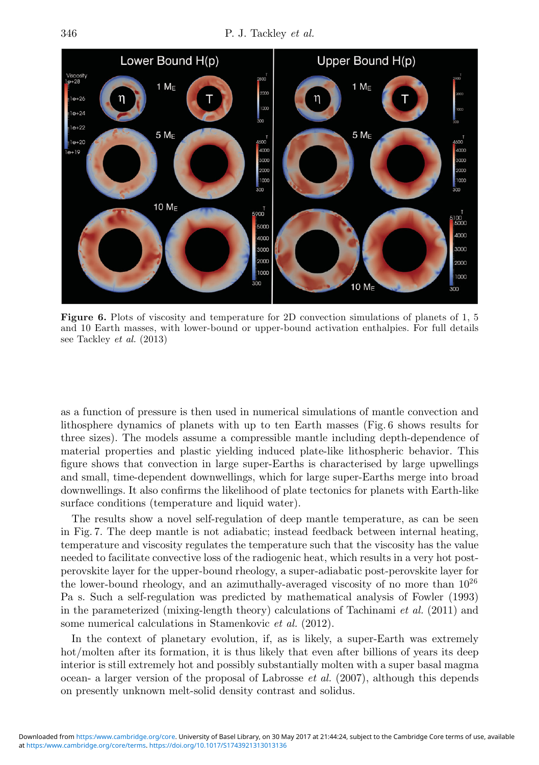

**Figure 6.** Plots of viscosity and temperature for 2D convection simulations of planets of 1, 5 and 10 Earth masses, with lower-bound or upper-bound activation enthalpies. For full details see Tackley et al. (2013)

as a function of pressure is then used in numerical simulations of mantle convection and lithosphere dynamics of planets with up to ten Earth masses (Fig. 6 shows results for three sizes). The models assume a compressible mantle including depth-dependence of material properties and plastic yielding induced plate-like lithospheric behavior. This figure shows that convection in large super-Earths is characterised by large upwellings and small, time-dependent downwellings, which for large super-Earths merge into broad downwellings. It also confirms the likelihood of plate tectonics for planets with Earth-like surface conditions (temperature and liquid water).

The results show a novel self-regulation of deep mantle temperature, as can be seen in Fig. 7. The deep mantle is not adiabatic; instead feedback between internal heating, temperature and viscosity regulates the temperature such that the viscosity has the value needed to facilitate convective loss of the radiogenic heat, which results in a very hot postperovskite layer for the upper-bound rheology, a super-adiabatic post-perovskite layer for the lower-bound rheology, and an azimuthally-averaged viscosity of no more than  $10^{26}$ Pa s. Such a self-regulation was predicted by mathematical analysis of Fowler (1993) in the parameterized (mixing-length theory) calculations of Tachinami et al. (2011) and some numerical calculations in Stamenkovic et al. (2012).

In the context of planetary evolution, if, as is likely, a super-Earth was extremely hot/molten after its formation, it is thus likely that even after billions of years its deep interior is still extremely hot and possibly substantially molten with a super basal magma ocean- a larger version of the proposal of Labrosse  $et al. (2007)$ , although this depends on presently unknown melt-solid density contrast and solidus.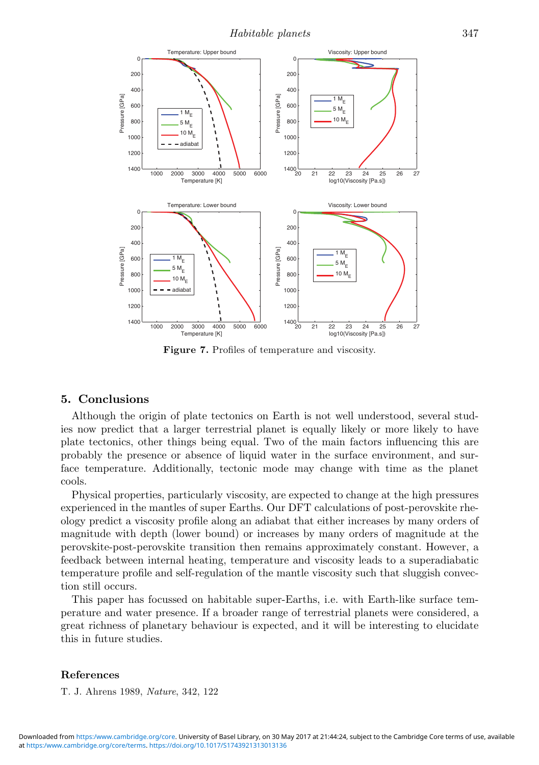

**Figure 7.** Profiles of temperature and viscosity.

# **5. Conclusions**

Although the origin of plate tectonics on Earth is not well understood, several studies now predict that a larger terrestrial planet is equally likely or more likely to have plate tectonics, other things being equal. Two of the main factors influencing this are probably the presence or absence of liquid water in the surface environment, and surface temperature. Additionally, tectonic mode may change with time as the planet cools.

Physical properties, particularly viscosity, are expected to change at the high pressures experienced in the mantles of super Earths. Our DFT calculations of post-perovskite rheology predict a viscosity profile along an adiabat that either increases by many orders of magnitude with depth (lower bound) or increases by many orders of magnitude at the perovskite-post-perovskite transition then remains approximately constant. However, a feedback between internal heating, temperature and viscosity leads to a superadiabatic temperature profile and self-regulation of the mantle viscosity such that sluggish convection still occurs.

This paper has focussed on habitable super-Earths, i.e. with Earth-like surface temperature and water presence. If a broader range of terrestrial planets were considered, a great richness of planetary behaviour is expected, and it will be interesting to elucidate this in future studies.

#### **References**

T. J. Ahrens 1989, Nature, 342, 122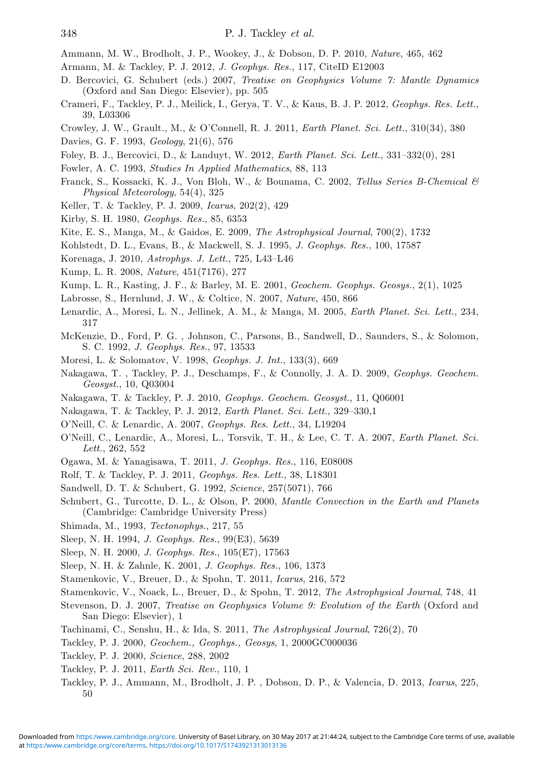Ammann, M. W., Brodholt, J. P., Wookey, J., & Dobson, D. P. 2010, Nature, 465, 462

- Armann, M. & Tackley, P. J. 2012, *J. Geophys. Res.*, 117, CiteID E12003
- D. Bercovici, G. Schubert (eds.) 2007, Treatise on Geophysics Volume 7: Mantle Dynamics (Oxford and San Diego: Elsevier), pp. 505
- Crameri, F., Tackley, P. J., Meilick, I., Gerya, T. V., & Kaus, B. J. P. 2012, Geophys. Res. Lett., 39, L03306
- Crowley, J. W., Grault., M., & O'Connell, R. J. 2011, Earth Planet. Sci. Lett., 310(34), 380
- Davies, G. F. 1993, Geology, 21(6), 576
- Foley, B. J., Bercovici, D., & Landuyt, W. 2012, Earth Planet. Sci. Lett., 331–332(0), 281
- Fowler, A. C. 1993, *Studies In Applied Mathematics*, 88, 113
- Franck, S., Kossacki, K. J., Von Bloh, W., & Bounama, C. 2002, Tellus Series B-Chemical & Physical Meteorology, 54(4), 325
- Keller, T. & Tackley, P. J. 2009, Icarus, 202(2), 429
- Kirby, S. H. 1980, Geophys. Res., 85, 6353
- Kite, E. S., Manga, M., & Gaidos, E. 2009, The Astrophysical Journal, 700(2), 1732
- Kohlstedt, D. L., Evans, B., & Mackwell, S. J. 1995, J. Geophys. Res., 100, 17587
- Korenaga, J. 2010, Astrophys. J. Lett., 725, L43–L46
- Kump, L. R. 2008, Nature, 451(7176), 277
- Kump, L. R., Kasting, J. F., & Barley, M. E. 2001, *Geochem. Geophys. Geosys.*, 2(1), 1025
- Labrosse, S., Hernlund, J. W., & Coltice, N. 2007, Nature, 450, 866
- Lenardic, A., Moresi, L. N., Jellinek, A. M., & Manga, M. 2005, Earth Planet. Sci. Lett., 234, 317
- McKenzie, D., Ford, P. G. , Johnson, C., Parsons, B., Sandwell, D., Saunders, S., & Solomon, S. C. 1992, J. Geophys. Res., 97, 13533
- Moresi, L. & Solomatov, V. 1998, *Geophys. J. Int.*, 133(3), 669
- Nakagawa, T. , Tackley, P. J., Deschamps, F., & Connolly, J. A. D. 2009, Geophys. Geochem. Geosyst., 10, Q03004
- Nakagawa, T. & Tackley, P. J. 2010, Geophys. Geochem. Geosyst., 11, Q06001
- Nakagawa, T. & Tackley, P. J. 2012, *Earth Planet. Sci. Lett.*, 329–330,1
- O'Neill, C. & Lenardic, A. 2007, Geophys. Res. Lett., 34, L19204
- O'Neill, C., Lenardic, A., Moresi, L., Torsvik, T. H., & Lee, C. T. A. 2007, Earth Planet. Sci. Lett., 262, 552
- Ogawa, M. & Yanagisawa, T. 2011, J. Geophys. Res., 116, E08008
- Rolf, T. & Tackley, P. J. 2011, Geophys. Res. Lett., 38, L18301
- Sandwell, D. T. & Schubert, G. 1992, Science, 257(5071), 766
- Schubert, G., Turcotte, D. L., & Olson, P. 2000, Mantle Convection in the Earth and Planets (Cambridge: Cambridge University Press)
- Shimada, M., 1993, Tectonophys., 217, 55
- Sleep, N. H. 1994, J. Geophys. Res., 99(E3), 5639
- Sleep, N. H. 2000, J. Geophys. Res., 105(E7), 17563
- Sleep, N. H. & Zahnle, K. 2001, J. Geophys. Res., 106, 1373
- Stamenkovic, V., Breuer, D., & Spohn, T. 2011, Icarus, 216, 572
- Stamenkovic, V., Noack, L., Breuer, D., & Spohn, T. 2012, The Astrophysical Journal, 748, 41
- Stevenson, D. J. 2007, Treatise on Geophysics Volume 9: Evolution of the Earth (Oxford and San Diego: Elsevier), 1
- Tachinami, C., Senshu, H., & Ida, S. 2011, The Astrophysical Journal, 726(2), 70
- Tackley, P. J. 2000, Geochem., Geophys., Geosys, 1, 2000GC000036
- Tackley, P. J. 2000, Science, 288, 2002
- Tackley, P. J. 2011, Earth Sci. Rev., 110, 1
- Tackley, P. J., Ammann, M., Brodholt, J. P. , Dobson, D. P., & Valencia, D. 2013, Icarus, 225, 50